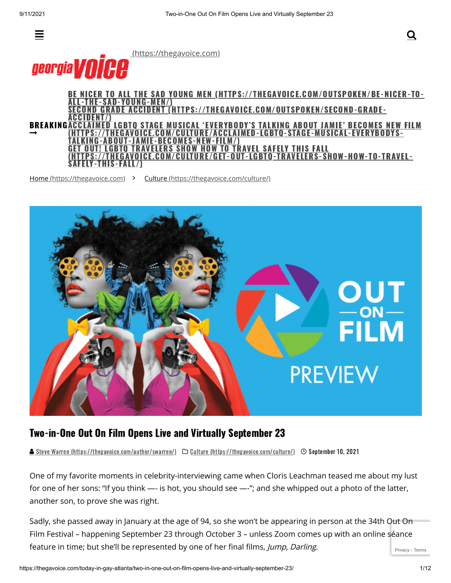

 [\(https://thegavoice.com\)](https://thegavoice.com/)



**BREAKINGAC**  $\rightarrow$ BE NICER TO ALL THE SAD YOUNG MEN [\(HTTPS://THEGAVOICE.COM/OUTSPOKEN/BE-NICER-TO-](https://thegavoice.com/outspoken/be-nicer-to-all-the-sad-young-men/)THE-SAD-YOUNG-MEN/) OND GRADE ACCIDENT [\(HTTPS://THEGAVOICE.COM/OUTSPOKEN/SECOND-GRADE-](https://thegavoice.com/outspoken/second-grade-accident/)ACCIDENT/) STAGE MUSICAL 'EVERYBODY'S TALKING ABOUT JAMIE' BECOMES NEW FILM [\(HTTPS://THEGAVOICE.COM/CULTURE/ACCLAIMED-LGBTQ-STAGE-MUSICAL-EVERYBODYS-](https://thegavoice.com/culture/acclaimed-lgbtq-stage-musical-everybodys-talking-about-jamie-becomes-new-film/)-ABOUT-JAMIE-BECOMES-NEW-FILM/ LGBTQ TRAVELERS SHOW HOW TO TRAVEL SAFELY THIS FALL  $\cdot$ ://THEGAVOICE.COM/CULTURE/GET-OUT-LGBTO-TRAVELERS-SHOW-HOW-TO-TRAVEL-ELY-THIS-FALL/)

Home [\(https://thegavoice.com\)](https://thegavoice.com/) > Culture [\(https://thegavoice.com/culture/\)](https://thegavoice.com/culture/)



## Two-in-One Out On Film Opens Live and Virtually September 23

Steve Warren [\(https://thegavoice.com/author/swarren/\)](https://thegavoice.com/author/swarren/)  $\Box$  Culture [\(https://thegavoice.com/culture/\)](https://thegavoice.com/culture/)  $\Box$  September 10, 2021

One of my favorite moments in celebrity-interviewing came when Cloris Leachman teased me about my lust for one of her sons: "If you think —- is hot, you should see —-"; and she whipped out a photo of the latter, another son, to prove she was right.

[Privacy](https://www.google.com/intl/en/policies/privacy/) - [Terms](https://www.google.com/intl/en/policies/terms/) Sadly, she passed away in January at the age of 94, so she won't be appearing in person at the 34th Out On Film Festival – happening September 23 through October 3 – unless Zoom comes up with an online séance feature in time; but she'll be represented by one of her final films, Jump, Darling.